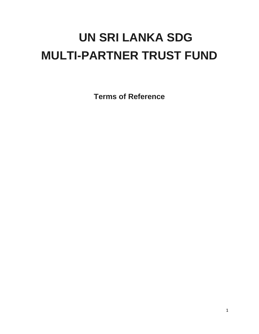# **UN SRI LANKA SDG MULTI-PARTNER TRUST FUND**

**Terms of Reference**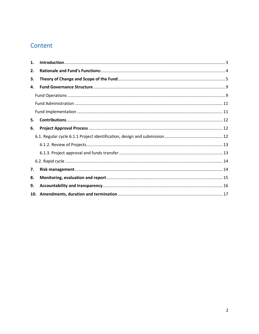# Content

| 1. |  |  |
|----|--|--|
| 2. |  |  |
| З. |  |  |
| 4. |  |  |
|    |  |  |
|    |  |  |
|    |  |  |
| 5. |  |  |
| 6. |  |  |
|    |  |  |
|    |  |  |
|    |  |  |
|    |  |  |
| 7. |  |  |
| 8. |  |  |
| 9. |  |  |
|    |  |  |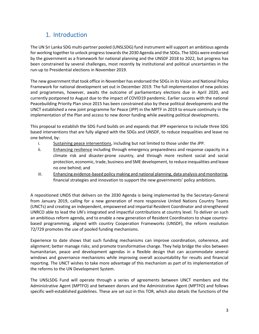# 1. Introduction

<span id="page-2-0"></span>The UN Sri Lanka SDG multi-partner pooled (UNSLSDG) fund instrument will support an ambitious agenda for working together to unlock progress towards the 2030 Agenda and the SDGs. The SDGs were endorsed by the government as a framework for national planning and the UNSDF 2018 to 2022, but progress has been constrained by several challenges, most recently by institutional and political uncertainties in the run-up to Presidential elections in November 2019.

The new government that took office in November has endorsed the SDGs in its Vision and National Policy Framework for national development set out in December 2019. The full implementation of new policies and programmes, however, awaits the outcome of parliamentary elections due in April 2020, and currently postponed to August due to the impact of COVID19 pandemic. Earlier success with the national Peacebuilding Priority Plan since 2015 has been constrained also by these political developments and the UNCT established a new joint programme for Peace (JPP) in the MPTF in 2019 to ensure continuity in the implementation of the Plan and access to new donor funding while awaiting political developments.

This proposal to establish the SDG Fund builds on and expands that JPP experience to include three SDG based interventions that are fully aligned with the SDGs and UNSDF, to reduce inequalities and leave no one behind, by:

- i. Sustaining peace interventions, including but not limited to those under the JPP.
- ii. **Enhancing resilience including through emergency preparedness and response capacity in a** climate risk and disaster-prone country, and through more resilient social and social protection, economic, trade, business and SME development, to reduce inequalities and leave no one behind; and
- iii. Enhancing evidence-based policy making and national planning, data analysis and monitoring, financial strategies and innovation to support the new governments' policy ambitions.

A repositioned UNDS that delivers on the 2030 Agenda is being implemented by the Secretary-General from January 2019, calling for a new generation of more responsive United Nations Country Teams (UNCTs) and creating an independent, empowered and impartial Resident Coordinator and strengthened UNRCO able to lead the UN's integrated and impactful contributions at country level. To deliver on such an ambitious reform agenda, and to enable a new generation of Resident Coordinators to shape countrybased programming, aligned with country Cooperation Frameworks (UNSDF), the reform resolution 72/729 promotes the use of pooled funding mechanisms.

Experience to date shows that such funding mechanisms can improve coordination, coherence, and alignment; better manage risks; and promote transformative change. They help bridge the silos between humanitarian, peace and development agendas in a flexible design that can accommodate several windows and governance mechanisms while improving overall accountability for results and financial reporting. The UNCT wishes to take more advantage of this mechanism as part of its implementation of the reforms to the UN Development System.

The UNSLSDG Fund will operate through a series of agreements between UNCT members and the Administrative Agent (MPTFO) and between donors and the Administrative Agent (MPTFO) and follows specific well-established guidelines. These are set out in this TOR, which also details the functions of the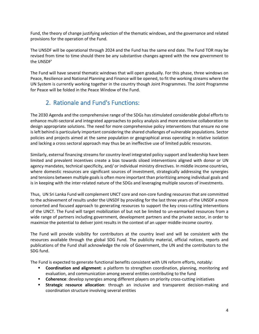Fund, the theory of change justifying selection of the thematic windows, and the governance and related provisions for the operation of the Fund.

The UNSDF will be operational through 2024 and the Fund has the same end date. The Fund TOR may be revised from time to time should there be any substantive changes agreed with the new government to the UNSDF'

The Fund will have several thematic windows that will open gradually. For this phase, three windows on Peace, Resilience and National Planning and Finance will be opened, to fit the working streams where the UN System is currently working together in the country though Joint Programmes. The Joint Programme for Peace will be folded in the Peace Window of the Fund.

# 2. Rationale and Fund's Functions:

<span id="page-3-0"></span>The 2030 Agenda and the comprehensive range of the SDGs has stimulated considerable global efforts to enhance multi-sectoral and integrated approaches to policy analysis and more extensive collaboration to design appropriate solutions. The need for more comprehensive policy interventions that ensure no one is left behind is particularly important considering the shared challenges of vulnerable populations. Sector policies and projects aimed at the same population or geographical areas operating in relative isolation and lacking a cross sectoral approach may thus be an ineffective use of limited public resources.

Similarly, external financing streams for country-level integrated policy support and leadership have been limited and prevalent incentives create a bias towards siloed interventions aligned with donor or UN agency mandates, technical specificity, and/ or individual ministry directives. In middle income countries, where domestic resources are significant sources of investment, strategically addressing the synergies and tensions between multiple goals is often more important than prioritizing among individual goals and is in keeping with the inter-related nature of the SDGs and leveraging multiple sources of investments.

Thus, UN Sri Lanka Fund will complement UNCT core and non-core funding resources that are committed to the achievement of results under the UNSDF by providing for the last three years of the UNSDF a more concerted and focused approach to generating resources to support the key cross-cutting interventions of the UNCT. The Fund will target mobilization of but not be limited to un-earmarked resources from a wide range of partners including government, development partners and the private sector, in order to maximize the potential to deliver joint results in the context of an upper middle-income country.

The Fund will provide visibility for contributors at the country level and will be consistent with the resources available through the global SDG Fund. The publicity material, official notices, reports and publications of the Fund shall acknowledge the role of Government, the UN and the contributors to the SDG fund.

The Fund is expected to generate functional benefits consistent with UN reform efforts, notably:

- **Coordination and alignment**: a platform to strengthen coordination, planning, monitoring and evaluation, and communication among several entities contributing to the fund
- **Coherence**: develop synergies among different players on priority cross-cutting initiatives
- **Strategic resource allocation**: through an inclusive and transparent decision-making and coordination structure involving several entities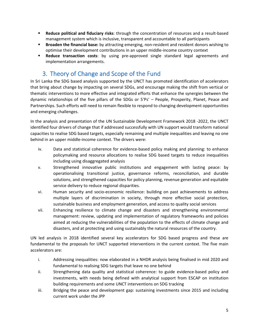- **Reduce political and fiduciary risks**: through the concentration of resources and a result-based management system which is inclusive, transparent and accountable to all participants
- **Broaden the financial base:** by attracting emerging, non-resident and resident donors wishing to optimise their development contributions in an upper middle-income country context
- **Reduce transaction costs**: by using pre-approved single standard legal agreements and implementation arrangements.

# <span id="page-4-0"></span>3. Theory of Change and Scope of the Fund

In Sri Lanka the SDG based analysis supported by the UNCT has promoted identification of accelerators that bring about change by impacting on several SDGs, and encourage making the shift from vertical or thematic interventions to more effective and integrated efforts that enhance the synergies between the dynamic relationships of the five pillars of the SDGs or 5'Ps' – People, Prosperity, Planet, Peace and Partnerships. Such efforts will need to remain flexible to respond to changing development opportunities and emerging challenges.

In the analysis and presentation of the UN Sustainable Development Framework 2018 -2022, the UNCT identified four drivers of change that if addressed successfully with UN support would transform national capacities to realise SDG based targets, especially remaining and multiple inequalities and leaving no one behind in an upper middle-income context. The drivers were:

- iv. Data and statistical coherence for evidence-based policy making and planning: to enhance policymaking and resource allocations to realise SDG based targets to reduce inequalities including using disaggregated analysis
- v. Strengthened innovative public institutions and engagement with lasting peace: by operationalising transitional justice, governance reforms, reconciliation, and durable solutions, and strengthened capacities for policy planning, revenue generation and equitable service delivery to reduce regional disparities.
- vi. Human security and socio-economic resilience: building on past achievements to address multiple layers of discrimination in society, through more effective social protection, sustainable business and employment generation, and access to quality social services
- vii. Enhancing resilience to climate change and disasters and strengthening environmental management: review, updating and implementation of regulatory frameworks and policies aimed at reducing the vulnerabilities of the population to the effects of climate change and disasters, and at protecting and using sustainably the natural resources of the country.

UN led analysis in 2018 identified several key accelerators for SDG based progress and these are fundamental to the proposals for UNCT supported interventions in the current context. The five main accelerators are:

- i. Addressing inequalities: now elaborated in a NHDR analysis being finalised in mid 2020 and fundamental to realising SDG targets that leave no one behind
- ii. Strengthening data quality and statistical coherence: to guide evidence-based policy and investments, with needs being defined with analytical support from ESCAP on institution building requirements and some UNCT interventions on SDG tracking
- iii. Bridging the peace and development gap: sustaining investments since 2015 and including current work under the JPP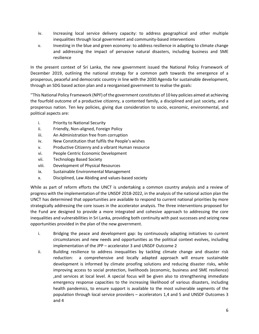- iv. Increasing local service delivery capacity: to address geographical and other multiple inequalities through local government and community-based interventions
- v. Investing in the blue and green economy: to address resilience in adapting to climate change and addressing the impact of pervasive natural disasters, including business and SME resilience

In the present context of Sri Lanka, the new government issued the National Policy Framework of December 2019, outlining the national strategy for a common path towards the emergence of a prosperous, peaceful and democratic country in line with the 2030 Agenda for sustainable development, through an SDG based action plan and a reorganised government to realise the goals:

''This National Policy Framework (NPF) of the government constitutes of 10 key policies aimed at achieving the fourfold outcome of a productive citizenry, a contented family, a disciplined and just society, and a prosperous nation. Ten key policies, giving due consideration to socio, economic, environmental, and political aspects are:

- i. Priority to National Security
- ii. Friendly, Non-aligned, Foreign Policy
- iii. An Administration free from corruption
- iv. New Constitution that fulfils the People's wishes
- v. Productive Citizenry and a vibrant Human resource
- vi. People Centric Economic Development
- vii. Technology Based Society
- viii. Development of Physical Resources
- ix. Sustainable Environmental Management
- x. Disciplined, Law Abiding and values-based society

While as part of reform efforts the UNCT is undertaking a common country analysis and a review of progress with the implementation of the UNSDF 2018-2022, in the analysis of the national action plan the UNCT has determined that opportunities are available to respond to current national priorities by more strategically addressing the core issues in the accelerator analysis. The three interventions proposed for the Fund are designed to provide a more integrated and cohesive approach to addressing the core inequalities and vulnerabilities in Sri Lanka, providing both continuity with past successes and seizing new opportunities provided in the plan of the new government.

- i. Bridging the peace and development gap: by continuously adapting initiatives to current circumstances and new needs and opportunities as the political context evolves, including implementation of the JPP – accelerator 3 and UNSDF Outcome 2
- ii. Building resilience to address inequalities by tackling climate change and disaster risk reduction: a comprehensive and locally adapted approach will ensure sustainable development is informed by climate proofing solutions and reducing disaster risks, while improving access to social protection, livelihoods (economic, business and SME resilience) ,and services at local level. A special focus will be given also to strengthening immediate emergency response capacities to the increasing likelihood of various disasters, including health pandemics, to ensure support is available to the most vulnerable segments of the population through local service providers – accelerators 1,4 and 5 and UNSDF Outcomes 3 and 4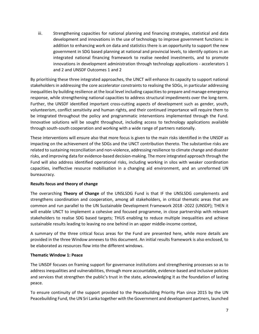iii. Strengthening capacities for national planning and financing strategies, statistical and data development and innovations in the use of technology to improve government functions: in addition to enhancing work on data and statistics there is an opportunity to support the new government in SDG based planning at national and provincial levels, to identify options in an integrated national financing framework to realise needed investments, and to promote innovations in development administration through technology applications - accelerators 1 and 2 and UNSDF Outcomes 1 and 2

By prioritising these three integrated approaches, the UNCT will enhance its capacity to support national stakeholders in addressing the core accelerator constraints to realising the SDGs, in particular addressing inequalities by building resilience at the local level including capacities to prepare and manage emergency response, while strengthening national capacities to address structural impediments over the long-term. Further, the UNSDF identified important cross-cutting aspects of development such as gender, youth, volunteerism, conflict sensitivity and human rights, and their continued importance will require them to be integrated throughout the policy and programmatic interventions implemented through the Fund. Innovative solutions will be sought throughout, including access to technology applications available through south-south cooperation and working with a wide range of partners nationally.

These interventions will ensure also that more focus is given to the main risks identified in the UNSDF as impacting on the achievement of the SDGs and the UNCT contribution thereto. The substantive risks are related to sustaining reconciliation and non-violence, addressing resilience to climate change and disaster risks, and improving data for evidence-based decision-making. The more integrated approach through the Fund will also address identified operational risks, including working in silos with weaker coordination capacities, ineffective resource mobilisation in a changing aid environment, and an unreformed UN bureaucracy.

#### **Results focus and theory of change**

The overarching **Theory of Change** of the UNSLSDG Fund is that IF the UNSLSDG complements and strengthens coordination and cooperation, among all stakeholders, in critical thematic areas that are common and run parallel to the UN Sustainable Development Framework 2018 -2022 (UNSDF); THEN it will enable UNCT to implement a cohesive and focused programme, in close partnership with relevant stakeholders to realise SDG based targets; THUS enabling to reduce multiple inequalities and achieve sustainable results leading to leaving no one behind in an upper middle-income context,

A summary of the three critical focus areas for the Fund are presented here, while more details are provided in the three Window annexes to this document. An initial results framework is also enclosed, to be elaborated as resources flow into the different windows.

#### **Thematic Window 1: Peace**

The UNSDF focuses on framing support for governance institutions and strengthening processes so as to address inequalities and vulnerabilities, through more accountable, evidence-based and inclusive policies and services that strengthen the public's trust in the state, acknowledging it as the foundation of lasting peace.

To ensure continuity of the support provided to the Peacebuilding Priority Plan since 2015 by the UN Peacebuilding Fund, the UN Sri Lanka together with the Government and development partners, launched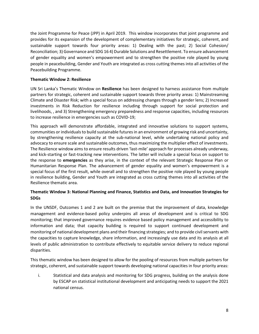the Joint Programme for Peace (JPP) in April 2019. This window incorporates that joint programme and provides for its expansion of the development of complementary initiatives for strategic, coherent, and sustainable support towards four priority areas: 1) Dealing with the past; 2) Social Cohesion/ Reconciliation; 3) Governance and SDG 16 4) Durable Solutions and Resettlement. To ensure advancement of gender equality and women's empowerment and to strengthen the positive role played by young people in peacebuilding, Gender and Youth are integrated as cross cutting themes into all activities of the Peacebuilding Programme.

#### **Thematic Window 2: Resilience**

UN Sri Lanka's Thematic Window on **Resilience** has been designed to harness assistance from multiple partners for strategic, coherent and sustainable support towards three priority areas: 1) Mainstreaming Climate and Disaster Risk; with a special focus on addressing changes through a gender lens; 2) Increased investments in Risk Reduction for resilience including through support for social protection and livelihoods, , and 3) Strengthening emergency preparedness and response capacities, including resources to increase resilience in emergencies such as COVID-19;

This approach will demonstrate affordable, integrated and innovative solutions to support systems, communities or individuals to build sustainable futures in an environment of growing risk and uncertainty, by strengthening resilience capacity at the sub-national level, while undertaking national policy and advocacy to ensure scale and sustainable outcomes, thus maximizing the multiplier effect of investments. The Resilience window aims to ensure results driven 'last-mile' approach for processes already underway, and kick-starting or fast-tracking new interventions. The latter will include a special focus on support to the response to **emergencies** as they arise, in the context of the relevant Strategic Response Plan or Humanitarian Response Plan. The advancement of gender equality and women's empowerment is a special focus of the first result, while overall and to strengthen the positive role played by young people in resilience building, Gender and Youth are integrated as cross cutting themes into all activities of the Resilience thematic area.

#### **Thematic Window 3: National Planning and Finance, Statistics and Data, and Innovation Strategies for SDGs**

In the UNSDF, Outcomes 1 and 2 are built on the premise that the improvement of data, knowledge management and evidence-based policy underpins all areas of development and is critical to SDG monitoring; that improved governance requires evidence based policy management and accessibility to information and data; that capacity building is required to support continued development and monitoring of national development plans and their financing strategies; and to provide civil servants with the capacities to capture knowledge, share information, and increasingly use data and its analysis at all levels of public administration to contribute effectively to equitable service delivery to reduce regional disparities.

This thematic window has been designed to allow for the pooling of resources from multiple partners for strategic, coherent, and sustainable support towards developing national capacities in four priority areas:

i. Statistical and data analysis and monitoring for SDG progress, building on the analysis done by ESCAP on statistical institutional development and anticipating needs to support the 2021 national census.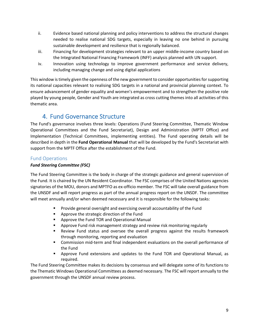- ii. Evidence based national planning and policy interventions to address the structural changes needed to realise national SDG targets, especially in leaving no one behind in pursuing sustainable development and resilience that is regionally balanced.
- iii. Financing for development strategies relevant to an upper middle-income country based on the Integrated National Financing Framework (INFF) analysis planned with UN support.
- iv. Innovation using technology to improve government performance and service delivery, including managing change and using digital applications

This window is timely given the openness of the new government to consider opportunities for supporting its national capacities relevant to realising SDG targets in a national and provincial planning context. To ensure advancement of gender equality and women's empowerment and to strengthen the positive role played by young people, Gender and Youth are integrated as cross cutting themes into all activities of this thematic area.

# 4. Fund Governance Structure

<span id="page-8-0"></span>The Fund's governance involves three levels: Operations (Fund Steering Committee, Thematic Window Operational Committees and the Fund Secretariat), Design and Administration (MPTF Office) and Implementation (Technical Committees, implementing entities). The Fund operating details will be described in depth in the **Fund Operational Manual** that will be developed by the Fund's Secretariat with support from the MPTF Office after the establishment of the Fund.

## <span id="page-8-1"></span>Fund Operations

#### *Fund Steering Committee (FSC)*

The Fund Steering Committee is the body in charge of the strategic guidance and general supervision of the Fund. It is chaired by the UN Resident Coordinator. The FSC comprises of the United Nations agencies signatories of the MOU, donors and MPTFO as ex-officio member. The FSC will take overall guidance from the UNSDF and will report progress as part of the annual progress report on the UNSDF. The committee will meet annually and/or when deemed necessary and it is responsible for the following tasks:

- **Provide general oversight and exercising overall accountability of the Fund**
- **Approve the strategic direction of the Fund**
- **Approve the Fund TOR and Operational Manual**
- **•** Approve Fund risk management strategy and review risk monitoring regularly
- Review Fund status and oversee the overall progress against the results framework through monitoring, reporting and evaluation
- Commission mid-term and final independent evaluations on the overall performance of the Fund
- Approve Fund extensions and updates to the Fund TOR and Operational Manual, as required.

The Fund Steering Committee makes its decisions by consensus and will delegate some of its functions to the Thematic Windows Operational Committees as deemed necessary. The FSC will report annually to the government through the UNSDF annual review process.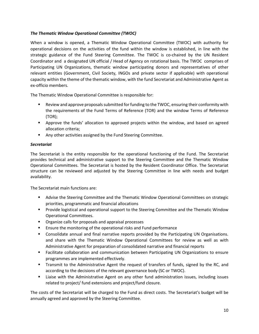#### *The Thematic Window Operational Committee (TWOC)*

When a window is opened, a Thematic Window Operational Committee (TWOC) with authority for operational decisions on the activities of the fund within the window is established, in line with the strategic guidance of the Fund Steering Committee. The TWOC is co-chaired by the UN Resident Coordinator and a designated UN official / Head of Agency on rotational basis. The TWOC comprises of Participating UN Organizations, thematic window participating donors and representatives of other relevant entities (Government, Civil Society, INGOs and private sector if applicable) with operational capacity within the theme of the thematic window, with the fund Secretariat and Administrative Agent as ex-officio members.

The Thematic Window Operational Committee is responsible for:

- Review and approve proposals submitted for funding to the TWOC, ensuring their conformity with the requirements of the Fund Terms of Reference (TOR) and the window Terms of Reference (TOR);
- **Approve the funds' allocation to approved projects within the window, and based on agreed** allocation criteria;
- Any other activities assigned by the Fund Steering Committee.

#### *Secretariat*

The Secretariat is the entity responsible for the operational functioning of the Fund. The Secretariat provides technical and administrative support to the Steering Committee and the Thematic Window Operational Committees. The Secretariat is hosted by the Resident Coordinator Office. The Secretariat structure can be reviewed and adjusted by the Steering Committee in line with needs and budget availability.

The Secretariat main functions are:

- Advise the Steering Committee and the Thematic Window Operational Committees on strategic priorities, programmatic and financial allocations
- **Provide logistical and operational support to the Steering Committee and the Thematic Window** Operational Committees.
- **•** Organize calls for proposals and appraisal processes
- **Ensure the monitoring of the operational risks and Fund performance**
- Consolidate annual and final narrative reports provided by the Participating UN Organisations. and share with the Thematic Window Operational Committees for review as well as with Administrative Agent for preparation of consolidated narrative and financial reports
- **Facilitate collaboration and communication between Participating UN Organizations to ensure** programmes are implemented effectively.
- Transmit to the Administrative Agent the request of transfers of funds, signed by the RC, and according to the decisions of the relevant governance body (SC or TWOC).
- Liaise with the Administrative Agent on any other fund administration issues, including issues related to project/ fund extensions and project/fund closure.

The costs of the Secretariat will be charged to the Fund as direct costs. The Secretariat's budget will be annually agreed and approved by the Steering Committee.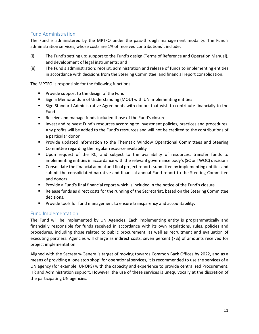## <span id="page-10-0"></span>Fund Administration

The Fund is administered by the MPTFO under the pass-through management modality. The Fund's administration services, whose costs are [1](#page-10-2)% of received contributions<sup>1</sup>, include:

- (i) The Fund's setting up: support to the Fund's design (Terms of Reference and Operation Manual), and development of legal instruments; and
- (ii) The Fund's administration: receipt, administration and release of funds to implementing entities in accordance with decisions from the Steering Committee, and financial report consolidation.

The MPTFO is responsible for the following functions:

- **Provide support to the design of the Fund**
- Sign a Memorandum of Understanding (MOU) with UN implementing entities
- Sign Standard Administrative Agreements with donors that wish to contribute financially to the Fund
- **Receive and manage funds included those of the Fund's closure**
- **Invest and reinvest Fund's resources according to investment policies, practices and procedures.** Any profits will be added to the Fund's resources and will not be credited to the contributions of a particular donor
- **Provide updated information to the Thematic Window Operational Committees and Steering** Committee regarding the regular resource availability
- Upon request of the RC, and subject to the availability of resources, transfer funds to implementing entities in accordance with the relevant governance body's (SC or TWOC) decisions
- **Consolidate the financial annual and final project reports submitted by implementing entities and** submit the consolidated narrative and financial annual Fund report to the Steering Committee and donors
- **Provide a Fund's final financial report which is included in the notice of the Fund's closure**
- Release funds as direct costs for the running of the Secretariat, based on the Steering Committee decisions.
- **Provide tools for fund management to ensure transparency and accountability.**

## <span id="page-10-1"></span>Fund Implementation

The Fund will be implemented by UN Agencies. Each implementing entity is programmatically and financially responsible for funds received in accordance with its own regulations, rules, policies and procedures, including those related to public procurement, as well as recruitment and evaluation of executing partners. Agencies will charge as indirect costs, seven percent (7%) of amounts received for project implementation.

<span id="page-10-2"></span>Aligned with the Secretary-General's target of moving towards Common Back Offices by 2022, and as a means of providing a 'one stop shop' for operational services, it is recommended to use the services of a UN agency (for example UNOPS) with the capacity and experience to provide centralized Procurement, HR and Administration support. However, the use of these services is unequivocally at the discretion of the participating UN agencies.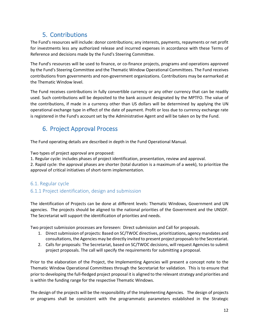# 5. Contributions

<span id="page-11-0"></span>The Fund's resources will include: donor contributions; any interests, payments, repayments or net profit for investments less any authorized release and incurred expenses in accordance with these Terms of Reference and decisions made by the Fund's Steering Committee.

The Fund's resources will be used to finance, or co-finance projects, programs and operations approved by the Fund's Steering Committee and the Thematic Window Operational Committees. The Fund receives contributions from governments and non-government organizations. Contributions may be earmarked at the Thematic Window level.

The Fund receives contributions in fully convertible currency or any other currency that can be readily used. Such contributions will be deposited to the bank account designated by the MPTFO. The value of the contributions, if made in a currency other than US dollars will be determined by applying the UN operational exchange type in effect of the date of payment. Profit or loss due to currency exchange rate is registered in the Fund's account set by the Administrative Agent and will be taken on by the Fund.

# <span id="page-11-1"></span>6. Project Approval Process

The Fund operating details are described in depth in the Fund Operational Manual.

Two types of project approval are proposed:

1. Regular cycle: includes phases of project identification, presentation, review and approval.

2. Rapid cycle: the approval phases are shorter (total duration is a maximum of a week), to prioritize the approval of critical initiatives of short-term implementation.

## <span id="page-11-2"></span>6.1. Regular cycle

## 6.1.1 Project identification, design and submission

The identification of Projects can be done at different levels: Thematic Windows, Government and UN agencies. The projects should be aligned to the national priorities of the Government and the UNSDF. The Secretariat will support the identification of priorities and needs.

Two project submission processes are foreseen: Direct submission and Call for proposals.

- 1. Direct submission of projects: Based on SC/TWOC directives, prioritizations, agency mandates and consultations, the Agencies may be directly invited to present project proposalsto the Secretariat.
- 2. Calls for proposals: The Secretariat, based on SC/TWOC decisions, will request Agencies to submit project proposals. The call will specify the requirements for submitting a proposal.

Prior to the elaboration of the Project, the Implementing Agencies will present a concept note to the Thematic Window Operational Committees through the Secretariat for validation. This is to ensure that prior to developing the full-fledged project proposal it is aligned to the relevant strategy and priorities and is within the funding range for the respective Thematic Windows.

The design of the projects will be the responsibility of the Implementing Agencies. The design of projects or programs shall be consistent with the programmatic parameters established in the Strategic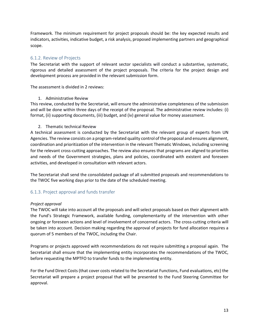Framework. The minimum requirement for project proposals should be: the key expected results and indicators, activities, indicative budget, a risk analysis, proposed implementing partners and geographical scope.

### <span id="page-12-0"></span>6.1.2. Review of Projects

The Secretariat with the support of relevant sector specialists will conduct a substantive, systematic, rigorous and detailed assessment of the project proposals. The criteria for the project design and development process are provided in the relevant submission form.

The assessment is divided in 2 reviews:

#### 1. Administrative Review

This review, conducted by the Secretariat, will ensure the administrative completeness of the submission and will be done within three days of the receipt of the proposal. The administrative review includes: (i) format, (ii) supporting documents, (iii) budget, and (iv) general value for money assessment.

#### 2. Thematic technical Review

A technical assessment is conducted by the Secretariat with the relevant group of experts from UN Agencies. The review consists on a program-related quality control of the proposal and ensures alignment, coordination and prioritization of the intervention in the relevant Thematic Windows, including screening for the relevant cross-cutting approaches. The review also ensures that programs are aligned to priorities and needs of the Government strategies, plans and policies, coordinated with existent and foreseen activities, and developed in consultation with relevant actors.

The Secretariat shall send the consolidated package of all submitted proposals and recommendations to the TWOC five working days prior to the date of the scheduled meeting.

#### <span id="page-12-1"></span>6.1.3. Project approval and funds transfer

#### *Project approval*

The TWOC will take into account all the proposals and will select proposals based on their alignment with the Fund's Strategic Framework, available funding, complementarity of the intervention with other ongoing or foreseen actions and level of involvement of concerned actors. The cross-cutting criteria will be taken into account. Decision making regarding the approval of projects for fund allocation requires a quorum of 5 members of the TWOC, including the Chair.

Programs or projects approved with recommendations do not require submitting a proposal again. The Secretariat shall ensure that the implementing entity incorporates the recommendations of the TWOC, before requesting the MPTFO to transfer funds to the implementing entity.

For the Fund Direct Costs (that cover costs related to the Secretariat Functions, Fund evaluations, etc) the Secretariat will prepare a project proposal that will be presented to the Fund Steering Committee for approval.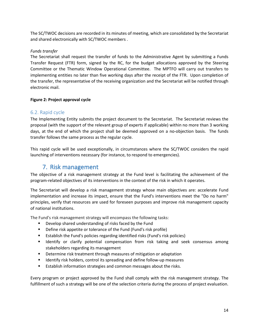The SC/TWOC decisions are recorded in its minutes of meeting, which are consolidated by the Secretariat and shared electronically with SC/TWOC members .

#### *Funds transfer*

The Secretariat shall request the transfer of funds to the Administrative Agent by submitting a Funds Transfer Request (FTR) form, signed by the RC, for the budget allocations approved by the Steering Committee or the Thematic Window Operational Committee. The MPTFO will carry out transfers to implementing entities no later than five working days after the receipt of the FTR. Upon completion of the transfer, the representative of the receiving organization and the Secretariat will be notified through electronic mail.

#### **Figure 2: Project approval cycle**

## <span id="page-13-0"></span>6.2. Rapid cycle

The Implementing Entity submits the project document to the Secretariat. The Secretariat reviews the proposal (with the support of the relevant group of experts if applicable) within no more than 3 working days, at the end of which the project shall be deemed approved on a no-objection basis. The funds transfer follows the same process as the regular cycle.

<span id="page-13-1"></span>This rapid cycle will be used exceptionally, in circumstances where the SC/TWOC considers the rapid launching of interventions necessary (for instance, to respond to emergencies).

## 7. Risk management

The objective of a risk management strategy at the Fund level is facilitating the achievement of the program-related objectives of its interventions in the context of the risk in which it operates.

The Secretariat will develop a risk management strategy whose main objectives are: accelerate Fund implementation and increase its impact, ensure that the Fund's interventions meet the "Do no harm" principles, verify that resources are used for foreseen purposes and improve risk management capacity of national institutions.

The Fund's risk management strategy will encompass the following tasks:

- **Develop shared understanding of risks faced by the Fund**
- **Define risk appetite or tolerance of the Fund (Fund's risk profile)**
- Establish the Fund's policies regarding identified risks (Fund's risk policies)
- **I** Identify or clarify potential compensation from risk taking and seek consensus among stakeholders regarding its management
- **Determine risk treatment through measures of mitigation or adaptation**
- **If the Identify risk holders, control its spreading and define follow-up measures**
- **Establish information strategies and common messages about the risks.**

Every program or project approved by the Fund shall comply with the risk management strategy. The fulfillment of such a strategy will be one of the selection criteria during the process of project evaluation.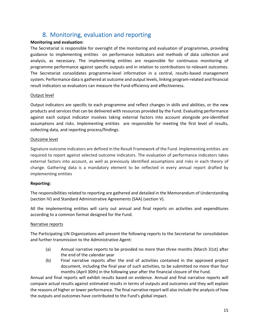# 8. Monitoring, evaluation and reporting

#### <span id="page-14-0"></span>**Monitoring and evaluation:**

The Secretariat is responsible for oversight of the monitoring and evaluation of programmes, providing guidance to implementing entities on performance indicators and methods of data collection and analysis, as necessary. The implementing entities are responsible for continuous monitoring of programme performance against specific outputs and in relation to contributions to relevant outcomes. The Secretariat consolidates programme-level information in a central, results-based management system. Performance data is gathered at outcome and output levels, linking program-related and financial result indicators so evaluators can measure the Fund efficiency and effectiveness.

#### Output level

Output indicators are specific to each programme and reflect changes in skills and abilities, or the new products and services that can be delivered with resources provided by the Fund. Evaluating performance against each output indicator involves taking external factors into account alongside pre-identified assumptions and risks. Implementing entities are responsible for meeting the first level of results, collecting data, and reporting process/findings.

#### Outcome level

Signature outcome indicators are defined in the Result Framework of the Fund. Implementing entities are required to report against selected outcome indicators. The evaluation of performance indicators takes external factors into account, as well as previously identified assumptions and risks in each theory of change. Gathering data is a mandatory element to be reflected in every annual report drafted by implementing entities

#### **Reporting:**

The responsibilities related to reporting are gathered and detailed in the Memorandum of Understanding (section IV) and Standard Administrative Agreements (SAA) (section V).

All the implementing entities will carry out annual and final reports on activities and expenditures according to a common format designed for the Fund.

#### Narrative reports

The Participating UN Organizations will present the following reports to the Secretariat for consolidation and further transmission to the Administrative Agent:

- (a) Annual narrative reports to be provided no more than three months (March 31st) after the end of the calendar year
- (b) Final narrative reports after the end of activities contained in the approved project document, including the final year of such activities, to be submitted no more than four months (April 30th) in the following year after the financial closure of the Fund.

Annual and final reports will exhibit results based on evidence. Annual and final narrative reports will compare actual results against estimated results in terms of outputs and outcomes and they will explain the reasons of higher or lower performance. The final narrative report will also include the analysis of how the outputs and outcomes have contributed to the Fund's global impact.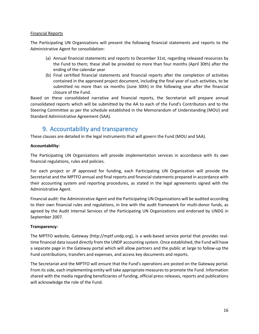#### Financial Reports

The Participating UN Organizations will present the following financial statements and reports to the Administrative Agent for consolidation:

- (a) Annual financial statements and reports to December 31st, regarding released resources by the Fund to them; these shall be provided no more than four months (April 30th) after the ending of the calendar year
- (b) Final certified financial statements and financial reports after the completion of activities contained in the approved project document, including the final year of such activities, to be submitted no more than six months (June 30th) in the following year after the financial closure of the Fund.

Based on these consolidated narrative and financial reports, the Secretariat will prepare annual consolidated reports which will be submitted by the AA to each of the Fund's Contributors and to the Steering Committee as per the schedule established in the Memorandum of Understanding (MOU) and Standard Administrative Agreement (SAA).

# 9. Accountability and transparency

<span id="page-15-0"></span>These clauses are detailed in the legal instruments that will govern the Fund (MOU and SAA).

#### **Accountability:**

The Participating UN Organizations will provide implementation services in accordance with its own financial regulations, rules and policies.

For each project or JP approved for funding, each Participating UN Organization will provide the Secretariat and the MPTFO annual and final reports and financial statements prepared in accordance with their accounting system and reporting procedures, as stated in the legal agreements signed with the Administrative Agent.

Financial audit: the Administrative Agent and the Participating UN Organizations will be audited according to their own financial rules and regulations, in line with the audit framework for multi-donor funds, as agreed by the Audit Internal Services of the Participating UN Organizations and endorsed by UNDG in September 2007.

#### **Transparency:**

The MPTFO website, Gateway (http://mptf.undp.org), is a web-based service portal that provides realtime financial data issued directly from the UNDP accounting system. Once established, the Fund will have a separate page in the Gateway portal which will allow partners and the public at large to follow-up the Fund contributions, transfers and expenses, and access key documents and reports.

The Secretariat and the MPTFO will ensure that the Fund's operations are posted on the Gateway portal. From its side, each implementing entity will take appropriate measures to promote the Fund. Information shared with the media regarding beneficiaries of funding, official press releases, reports and publications will acknowledge the role of the Fund.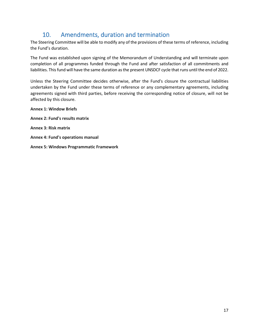# 10. Amendments, duration and termination

<span id="page-16-0"></span>The Steering Committee will be able to modify any of the provisions of these terms of reference, including the Fund's duration.

The Fund was established upon signing of the Memorandum of Understanding and will terminate upon completion of all programmes funded through the Fund and after satisfaction of all commitments and liabilities. This fund will have the same duration as the present UNSDCF cycle that runs until the end of 2022.

Unless the Steering Committee decides otherwise, after the Fund's closure the contractual liabilities undertaken by the Fund under these terms of reference or any complementary agreements, including agreements signed with third parties, before receiving the corresponding notice of closure, will not be affected by this closure.

**Annex 1: Window Briefs Annex 2: Fund's results matrix Annex 3: Risk matrix Annex 4: Fund's operations manual** 

**Annex 5: Windows Programmatic Framework**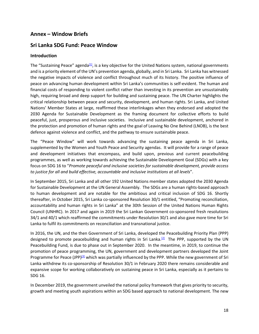## **Annex – Window Briefs**

## **Sri Lanka SDG Fund: Peace Window**

#### **Introduction**

The "Sustaining Peace" agenda $[1]$ , is a key objective for the United Nations system, national governments and is a priority element of the UN's prevention agenda, globally, and in Sri Lanka. Sri Lanka has witnessed the negative impacts of violence and conflict throughout much of its history. The positive influence of peace on advancing human development within Sri Lanka's communities is self-evident. The human and financial costs of responding to violent conflict rather than investing in its prevention are unsustainably high, requiring broad and deep support for building and sustaining peace. The UN Charter highlights the critical relationship between peace and security, development, and human rights. Sri Lanka, and United Nations' Member States at large, reaffirmed these interlinkages when they endorsed and adopted the 2030 Agenda for Sustainable Development as the framing document for collective efforts to build peaceful, just, prosperous and inclusive societies. Inclusive and sustainable development, anchored in the protection and promotion of human rights and the goal of Leaving No One Behind (LNOB), is the best defence against violence and conflict, and the pathway to ensure sustainable peace.

The "Peace Window" will work towards advancing the sustaining peace agenda in Sri Lanka, supplemented by the Women and Youth Peace and Security agendas. It will provide for a range of peace and development initiatives that encompass, and build upon, previous and current peacebuilding programmes, as well as working towards achieving the Sustainable Development Goal (SDGs) with a key focus on SDG 16 to "*Promote peaceful and inclusive societies for sustainable development, provide access to justice for all and build effective, accountable and inclusive institutions at all levels*".

In September 2015, Sri Lanka and all other 192 United Nations member states adopted the 2030 Agenda for Sustainable Development at the UN General Assembly. The SDGs are a human rights-based approach to human development and are notable for the ambitious and critical inclusion of SDG 16. Shortly thereafter, in October 2015, Sri Lanka co-sponsored Resolution 30/1 entitled, "Promoting reconciliation, accountability and human rights in Sri Lanka" at the 30th Session of the United Nations Human Rights Council (UNHRC). In 2017 and again in 2019 the Sri Lankan Government co-sponsored fresh resolutions 34/1 and 40/1 which reaffirmed the commitments under Resolution 30/1 and also gave more time for Sri Lanka to fulfil its commitments on reconciliation and transnational justice.

In 2016, the UN, and the then Government of Sri Lanka, developed the Peacebuilding Priority Plan (PPP) designed to promote peacebuilding and human rights in Sri Lanka.<sup>[2]</sup> The PPP, supported by the UN Peacebuilding Fund, is due to phase out in September 2020. In the meantime, in 2019, to continue the promotion of peace programming, the UN, government and development partners developed the Joint Programme for Peace (JPP)<sup>[3]</sup> which was partially influenced by the PPP. While the new government of Sri Lanka withdrew its co-sponsorship of Resolution 30/1 in February 2020 there remains considerable and expansive scope for working collaboratively on sustaining peace in Sri Lanka, especially as it pertains to SDG 16.

In December 2019, the government unveiled the national policy framework that gives priority to security, growth and meeting youth aspirations within an SDG based approach to national development. The new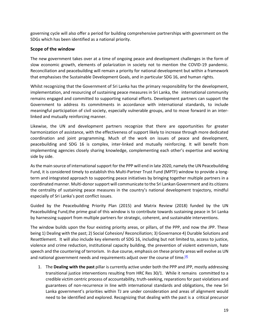governing cycle will also offer a period for building comprehensive partnerships with government on the SDGs which has been identified as a national priority.

#### **Scope of the window**

The new government takes over at a time of ongoing peace and development challenges in the form of slow economic growth, elements of polarization in society not to mention the COVID-19 pandemic. Reconciliation and peacebuilding will remain a priority for national development but within a framework that emphasises the Sustainable Development Goals, and in particular SDG 16, and human rights.

Whilst recognizing that the Government of Sri Lanka has the primary responsibility for the development, implementation, and resourcing of sustaining peace measures in Sri Lanka, the international community remains engaged and committed to supporting national efforts. Development partners can support the Government to address its commitments in accordance with international standards, to include meaningful participation of civil society, especially vulnerable groups, and to move forward in an interlinked and mutually reinforcing manner.

Likewise, the UN and development partners recognize that there are opportunities for greater harmonization of assistance, with the effectiveness of support likely to increase through more dedicated coordination and joint programming. Much of the work on issues of peace and development, peacebuilding and SDG 16 is complex, inter-linked and mutually reinforcing. It will benefit from implementing agencies closely sharing knowledge, complementing each other's expertise and working side by side.

As the main source of international support for the PPP will end in late 2020, namely the UN Peacebuilding Fund, it is considered timely to establish this Multi-Partner Trust Fund (MPTF) window to provide a longterm and integrated approach to supporting peace initiatives by bringing together multiple partners in a coordinated manner. Multi-donor support will communicate to the Sri Lankan Government and its citizens the centrality of sustaining peace measures in the country's national development trajectory, mindful especially of Sri Lanka's post conflict issues.

Guided by the Peacebuilding Priority Plan (2015) and Matrix Review (2018) funded by the UN Peacebuilding Fund,the prime goal of this window is to contribute towards sustaining peace in Sri Lanka by harnessing support from multiple partners for strategic, coherent, and sustainable interventions.

The window builds upon the four existing priority areas, or pillars, of the PPP, and now the JPP. These being 1) Dealing with the past; 2) Social Cohesion/ Reconciliation; 3) Governance 4) Durable Solutions and Resettlement. It will also include key elements of SDG 16, including but not limited to, access to justice, violence and crime reduction, institutional capacity building, the prevention of violent extremism, hate speech and the countering of terrorism. In due course, emphasis on these priority areas will evolve as UN and national government needs and requirements adjust over the course of time.<sup>[4]</sup>

1. The **Dealing with the past** pillar is currently active under both the PPP and JPP, mostly addressing transitional justice interventions resulting from HRC Res 30/1. While it remains committed to a credible victim centric process of accountability, truth-seeking, reparations for past violations and guarantees of non-recurrence in line with international standards and obligations, the new Sri Lanka government's priorities within TJ are under consideration and areas of alignment would need to be identified and explored. Recognizing that dealing with the past is a critical precursor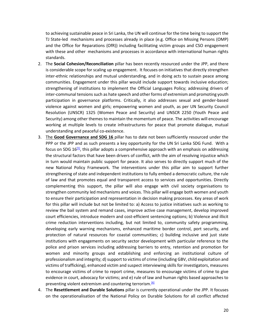to achieving sustainable peace in Sri Lanka, the UN will continue for the time being to support the TJ State-led mechanisms and processes already in place (e.g. Office on Missing Persons (OMP) and the Office for Reparations (OfR)) including facilitating victim groups and CSO engagement with these and other mechanisms and processes in accordance with international human rights standards.

- 2. The **Social Cohesion/Reconciliation** pillar has been recently resourced under the JPP, and there is considerable scope for scaling up engagement. It focuses on initiatives that directly strengthen inter-ethnic relationships and mutual understanding, and in doing acts to sustain peace among communities. Engagement under this pillar would include support towards inclusive education; strengthening of institutions to implement the Official Languages Policy; addressing drivers of inter-communal tensions such as hate speech and other forms of extremism and promoting youth participation in governance platforms. Critically, it also addresses sexual and gender-based violence against women and girls; empowering women and youth, as per UN Security Council Resolution (UNSCR) 1325 (Women Peace and Security) and UNSCR 2250 (Youth Peace and Security) among other themes to maintain the momentum of peace. The activities will encourage working at multiple levels to create infrastructures for peace that promote dialogue, mutual understanding and peaceful co-existence.
- 3. The **Good Governance and SDG 16** pillar has to date not been sufficiently resourced under the PPP or the JPP and as such presents a key opportunity for the UN Sri Lanka SDG Fund. With a focus on SDG 16[5], this pillar adopts a comprehensive approach with an emphasis on addressing the structural factors that have been drivers of conflict, with the aim of resolving injustice which in turn would maintain public support for peace. It also serves to directly support much of the new National Policy Framework. The interventions under this pillar aim to support further strengthening of state and independent institutions to fully embed a democratic culture, the rule of law and that promotes equal and transparent access to services and opportunities. Directly complementing this support, the pillar will also engage with civil society organisations to strengthen community led mechanisms and voices. This pillar will engage both women and youth to ensure their participation and representation in decision making processes. Key areas of work for this pillar will include but not be limited to: a) Access to justice initiatives such as working to review the bail system and remand cases, improve active case management, develop improved court efficiencies, introduce modern and cost-efficient sentencing options; b) Violence and illicit crime reduction interventions including, but not limited to, community safety programming, developing early warning mechanisms, enhanced maritime border control, port security, and protection of natural resources for coastal communities; c) building inclusive and just state institutions with engagements on security sector development with particular reference to the police and prison services including addressing barriers to entry, retention and promotion for women and minority groups and establishing and enforcing an institutional culture of professionalism and integrity; d) support to victims of crime (including GBV, child exploitation and victims of trafficking), enhanced victim and suspect interviewing skills for investigators, measures to encourage victims of crime to report crime, measures to encourage victims of crime to give evidence in court, advocacy for victims; and e) rule of law and human rights based approaches to preventing violent extremism and countering terrorism.<sup>[6]</sup>
- 4. The **Resettlement and Durable Solutions** pillar is currently operational under the JPP. It focuses on the operationalisation of the National Policy on Durable Solutions for all conflict affected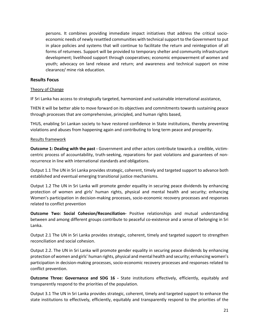persons. It combines providing immediate impact initiatives that address the critical socioeconomic needs of newly resettled communities with technical support to the Government to put in place policies and systems that will continue to facilitate the return and reintegration of all forms of returnees. Support will be provided to temporary shelter and community infrastructure development; livelihood support through cooperatives; economic empowerment of women and youth; advocacy on land release and return; and awareness and technical support on mine clearance/ mine risk education.

#### **Results Focus**

#### Theory of Change

IF Sri Lanka has access to strategically targeted, harmonized and sustainable international assistance,

THEN it will be better able to move forward on its objectives and commitments towards sustaining peace through processes that are comprehensive, principled, and human rights based,

THUS, enabling Sri Lankan society to have restored confidence in State institutions, thereby preventing violations and abuses from happening again and contributing to long term peace and prosperity.

#### Results framework

**Outcome 1: Dealing with the past -** Government and other actors contribute towards a credible, victimcentric process of accountability, truth-seeking, reparations for past violations and guarantees of nonrecurrence in line with international standards and obligations.

Output 1.1 The UN in Sri Lanka provides strategic, coherent, timely and targeted support to advance both established and eventual emerging transitional justice mechanisms.

Output 1.2 The UN in Sri Lanka will promote gender equality in securing peace dividends by enhancing protection of women and girls' human rights, physical and mental health and security; enhancing Women's participation in decision-making processes, socio-economic recovery processes and responses related to conflict prevention

**Outcome Two: Social Cohesion/Reconciliation-** Positive relationships and mutual understanding between and among different groups contribute to peaceful co-existence and a sense of belonging in Sri Lanka.

Output 2.1 The UN in Sri Lanka provides strategic, coherent, timely and targeted support to strengthen reconciliation and social cohesion.

Output 2.2. The UN in Sri Lanka will promote gender equality in securing peace dividends by enhancing protection of women and girls' human rights, physical and mental health and security; enhancing women's participation in decision-making processes, socio-economic recovery processes and responses related to conflict prevention.

**Outcome Three: Governance and SDG 16 -** State institutions effectively, efficiently, equitably and transparently respond to the priorities of the population.

Output 3.1 The UN in Sri Lanka provides strategic, coherent, timely and targeted support to enhance the state institutions to effectively, efficiently, equitably and transparently respond to the priorities of the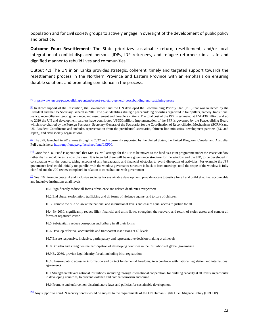population and for civil society groups to actively engage in oversight of the development of public policy and practice.

**Outcome Four: Resettlement-** The State prioritizes sustainable return, resettlement, and/or local integration of conflict-displaced persons (IDPs, IDP returnees, and refugee returnees) in a safe and dignified manner to rebuild lives and communities.

Output 4.1 The UN in Sri Lanka provides strategic, coherent, timely and targeted support towards the resettlement process in the Northern Province and Eastern Province with an emphasis on ensuring durable solutions and promoting confidence in the process.

 $\overline{\phantom{a}}$ 

<sup>[3]</sup> The JPP, launched in 2019, runs through to 2022 and is currently supported by the United States, the United Kingdom, Canada, and Australia. Full details here: http://mptf.undp.org/factsheet/fund/LKP00.

[4] Once the SDG Fund is operational that MPTFO will arrange for the JPP to be moved to the fund as a joint programme under the Peace window rather than standalone as is now the case. It is intended there will be one governance structure for the window and the JPP, to be developed in consultation with the donors, taking account of any bureaucratic and financial obstacles to avoid disruption of activities. For example the JPP governance level could initially run parallel with the window governance structure in back to back meetings, until the scope of the window is fully clarified and the JPP review completed in relation to consultations with government

[5] Goal 16. Promote peaceful and inclusive societies for sustainable development, provide access to justice for all and build effective, accountable and inclusive institutions at all levels

- 16.1 Significantly reduce all forms of violence and related death rates everywhere
- 16.2 End abuse, exploitation, trafficking and all forms of violence against and torture of children
- 16.3 Promote the rule of law at the national and international levels and ensure equal access to justice for all

16.4 By 2030, significantly reduce illicit financial and arms flows, strengthen the recovery and return of stolen assets and combat all forms of organized crime

16.5 Substantially reduce corruption and bribery in all their forms

16.6 Develop effective, accountable and transparent institutions at all levels

16.7 Ensure responsive, inclusive, participatory and representative decision-making at all levels

16.8 Broaden and strengthen the participation of developing countries in the institutions of global governance

16.9 By 2030, provide legal identity for all, including birth registration

16.10 Ensure public access to information and protect fundamental freedoms, in accordance with national legislation and international agreements

16.a Strengthen relevant national institutions, including through international cooperation, for building capacity at all levels, in particular in developing countries, to prevent violence and combat terrorism and crime

16.b Promote and enforce non-discriminatory laws and policies for sustainable development

[6] Any support to non-UN security forces would be subject to the requirements of the UN Human Rights Due Diligence Policy (HRDDP).

 $\frac{111}{11}$  https://www.un.org/peacebuilding/content/report-secretary-general-peacebuilding-and-sustaining-peace

 $\boxed{2}$  In direct support of the Resolution, the Government and the UN developed the Peacebuilding Priority Plan (PPP) that was launched by the President and the UN Secretary General in 2016. The plan identifies strategic peacebuilding priorities organized in four pillars, namely: transitional justice, reconciliation, good governance, and resettlement and durable solutions. The total cost of the PPP is estimated at USD130million, and up to 2020 the UN and development partners have contributed USD30million. Implementation of the PPP is governed by the Peacebuilding Board which is co-chaired by the Foreign Secretary, Secretary-General of the Secretariat for the Coordination of Reconciliation Mechanisms (SCRM) and UN Resident Coordinator and includes representation from the presidential secretariat, thirteen line ministries, development partners (EU and Japan), and civil society organisations.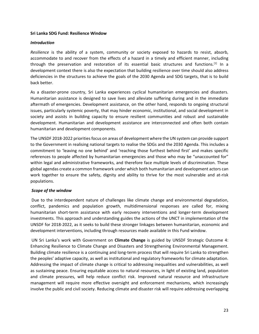#### **Sri Lanka SDG Fund: Resilience Window**

#### *Introduction*

*Resilience* is the ability of a system, community or society exposed to hazards to resist, absorb, accommodate to and recover from the effects of a hazard in a timely and efficient manner, including through the preservation and restoration of its essential basic structures and functions.<sup>[1]</sup> In a development context there is also the expectation that building resilience over time should also address deficiencies in the structures to achieve the goals of the 2030 Agenda and SDG targets, that is to build back better.

As a disaster-prone country, Sri Lanka experiences cyclical humanitarian emergencies and disasters. Humanitarian assistance is designed to save lives and alleviate suffering during and in the immediate aftermath of emergencies. Development assistance, on the other hand, responds to ongoing structural issues, particularly systemic poverty, that may hinder economic, institutional, and social development in society and assists in building capacity to ensure resilient communities and robust and sustainable development. Humanitarian and development assistance are interconnected and often both contain humanitarian and development components.

The UNSDF 2018-2022 priorities focus on areas of development where the UN system can provide support to the Government in realising national targets to realise the SDGs and the 2030 Agenda. This includes a commitment to 'leaving no one behind' and 'reaching those furthest behind first' and makes specific references to people affected by humanitarian emergencies and those who may be "unaccounted for" within legal and administrative frameworks, and therefore face multiple levels of discrimination. These global agendas create a common framework under which both humanitarian and development actors can work together to ensure the safety, dignity and ability to thrive for the most vulnerable and at-risk populations.

#### *Scope of the window*

Due to the interdependent nature of challenges like climate change and environmental degradation, conflict, pandemics and population growth, multidimensional responses are called for, mixing humanitarian short-term assistance with early recovery interventions and longer-term development investments. This approach and understanding guides the actions of the UNCT in implementation of the UNSDF for 2018-2022, as it seeks to build these stronger linkages between humanitarian, economic and development interventions, including through resources made available in this Fund window.

UN Sri Lanka's work with Government on **Climate Change** is guided by UNSDF Strategic Outcome 4: Enhancing Resilience to Climate Change and Disasters and Strengthening Environmental Management. Building climate resilience is a continuing and long-term process that will require Sri Lanka to strengthen the peoples' adaptive capacity, as well as institutional and regulatory frameworks for climate adaptation. Addressing the impact of climate change is critical to addressing inequalities and vulnerabilities, as well as sustaining peace. Ensuring equitable access to natural resources, in light of existing land, population and climate pressures, will help reduce conflict risk. Improved natural resource and infrastructure management will require more effective oversight and enforcement mechanisms, which increasingly involve the public and civil society. Reducing climate and disaster risk will require addressing overlapping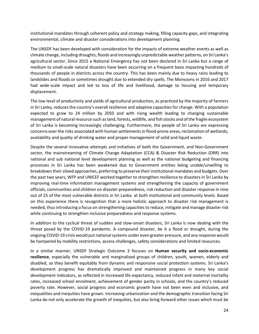institutional mandates through coherent policy and strategy making, filling capacity gaps, and integrating environmental, climate and disaster considerations into development planning.

The UNSDF has been developed with consideration for the impacts of extreme weather events as well as climate change, including droughts, floods and increasingly unpredictable weather patterns, on Sri Lanka's agricultural sector. Since 2015 a National Emergency has not been declared in Sri Lanka but a range of medium to small-scale natural disasters have been occurring on a frequent basis impacting hundreds of thousands of people in districts across the country. This has been mainly due to heavy rains leading to landslides and floods or sometimes drought due to extended dry spells. The Monsoons in 2016 and 2017 had wide-scale impact and led to loss of life and livelihood, damage to housing and temporary displacement.

The low level of productivity and yields of agricultural production, as practiced by the majority of farmers in Sri Lanka, reduces the country's overall resilience and adaptive capacities for change. With a population expected to grow to 24 million by 2050 and with rising wealth leading to changing sustainable management of natural resource such as land, forests, wildlife, and fish stocks and of the fragile ecosystem of Sri Lanka is becoming increasingly challenging. Furthermore, the people of Sri Lanka are expressing concerns over the risks associated with human settlements in flood-prone areas, reclamation of wetlands, availability and quality of drinking water and proper management of solid and liquid waste.

Despite the several innovative attempts and initiatives of both the Government, and Non-Government sector, the mainstreaming of Climate Change Adaptation (CCA) & Disaster Risk Reduction (DRR) into national and sub national level development planning as well as the national budgeting and financing processes in Sri Lanka has been weakened due to Government entities being unable/unwilling to breakdown their siloed approaches, preferring to preserve their institutional mandates and budgets. Over the past two years, WFP and UNICEF worked together to strengthen resilience to disasters in Sri Lanka by improving real-time information management systems and strengthening the capacity of government officials, communities and children on disaster preparedness, risk reduction and disaster response in nine out of 25 of the most vulnerable districts in Sri Lanka at both institutional and community levels. Based on this experience there is recognition that a more holistic approach to disaster risk management is needed, thus introducing a focus on strengthening capacities to reduce, mitigate and manage disaster risk while continuing to strengthen inclusive preparedness and response systems.

In addition to the cyclical threat of sudden and slow-onset disasters, Sri Lanka is now dealing with the threat posed by the COVID-19 pandemic. A compound disaster, be it a flood or drought, during the ongoing COVID-19 crisis would put national systems under even greater pressure, and any response would be hampered by mobility restrictions, access challenges, safety considerations and limited resources.

In a similar manner, UNSDF Strategic Outcome 3 focuses on **Human security and socio-economic resilience**, especially the vulnerable and marginalised groups of children, youth, women, elderly and disabled, so they benefit equitably from dynamic and responsive social protection systems. Sri Lanka's development progress has dramatically improved and maintained progress in many key social development indicators, as reflected in increased life expectancy, reduced infant and maternal mortality rates, increased school enrolment, achievement of gender parity in schools, and the country's reduced poverty rate. However, social progress and economic growth have not been even and inclusive, and inequalities and inequities have grown. Increasing urbanization and the demographic transition facing Sri Lanka do not only accelerate the growth of inequities, but also bring forward other issues which must be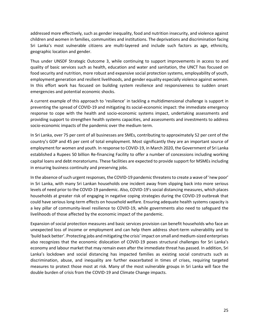addressed more effectively, such as gender inequality, food and nutrition insecurity, and violence against children and women in families, communities and institutions. The deprivations and discrimination facing Sri Lanka's most vulnerable citizens are multi-layered and include such factors as age, ethnicity, geographic location and gender.

Thus under UNSDF Strategic Outcome 3, while continuing to support improvements in access to and quality of basic services such as health, education and water and sanitation, the UNCT has focused on food security and nutrition, more robust and expansive social protection systems, employability of youth, employment generation and resilient livelihoods, and gender equality especially violence against women. In this effort work has focused on building system resilience and responsiveness to sudden onset emergencies and potential economic shocks.

A current example of this approach to 'resilience' in tackling a multidimensional challenge is support in preventing the spread of COVID-19 and mitigating its social-economic impact: the immediate emergency response to cope with the health and socio-economic systems impact, undertaking assessments and providing support to strengthen health systems capacities, and assessments and investments to address socio-economic impacts of the pandemic over the medium term.

In Sri Lanka, over 75 per cent of all businesses are SMEs, contributing to approximately 52 per cent of the country's GDP and 45 per cent of total employment. Most significantly they are an important source of employment for women and youth. In response to COVID-19, in March 2020, the Government of Sri Lanka established a Rupees 50 billion Re-financing Facility to offer a number of concessions including working capital loans and debt moratoriums. These facilities are expected to provide support for MSMEs including in ensuring business continuity and preserving jobs.

In the absence of such urgent responses, the COVID-19 pandemic threatens to create a wave of 'new poor' in Sri Lanka, with many Sri Lankan households one incident away from slipping back into more serious levels of need prior to the COVID-19 pandemic. Also, COVID-19's social distancing measures, which places households at greater risk of engaging in negative coping strategies during the COVID-19 outbreak that could have serious long-term effects on household welfare. Ensuring adequate health systems capacity is a key pillar of community-level resilience to COVID-19, while governments also need to safeguard the livelihoods of those affected by the economic impact of the pandemic.

Expansion of social protection measures and basic services provision can benefit households who face an unexpected loss of income or employment and can help them address short-term vulnerability and to 'build back better'. Protecting jobs and mitigating the crisis' impact on small and medium-sized enterprises also recognizes that the economic dislocation of COVID-19 poses structural challenges for Sri Lanka's economy and labour market that may remain even after the immediate threat has passed. In addition, Sri Lanka's lockdown and social distancing has impacted families as existing social constructs such as discrimination, abuse, and inequality are further exacerbated in times of crises, requiring targeted measures to protect those most at risk. Many of the most vulnerable groups in Sri Lanka will face the double burden of crisis from the COVID-19 and Climate Change impacts.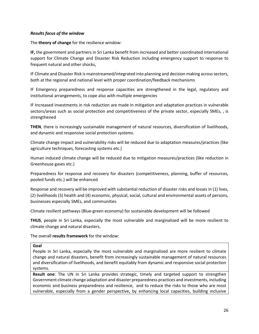#### *Results focus of the window*

The **theory of change** for the resilience window:

**IF,** the government and partners in Sri Lanka benefit from increased and better coordinated international support for Climate Change and Disaster Risk Reduction including emergency support to response to frequent natural and other shocks,

IF Climate and Disaster Risk is mainstreamed/integrated into planning and decision making across sectors, both at the regional and national level with proper coordination/feedback mechanisms

IF Emergency preparedness and response capacities are strengthened in the legal, regulatory and institutional arrangements, to cope also with multiple emergencies

IF Increased investments in risk reduction are made in mitigation and adaptation practices in vulnerable sectors/areas such as social protection and competitiveness of the private sector, especially SMEs, , is strengthened

**THEN**, there is increasingly sustainable management of natural resources, diversification of livelihoods, and dynamic and responsive social protection systems.

Climate change impact and vulnerability risks will be reduced due to adaptation measures/practices (like agriculture techniques, forecasting systems etc.)

Human induced climate change will be reduced due to mitigation measures/practices (like reduction in Greenhouse gases etc.)

Preparedness for response and recovery for disasters (competitiveness, planning, buffer of resources, pooled funds etc.) will be enhanced

Response and recovery will be improved with substantial reduction of disaster risks and losses in (1) lives, (2) livelihoods (3) health and (4) economic, physical, social, cultural and environmental assets of persons, businesses especially SMEs, and communities

Climate resilient pathways (Blue-green economy) for sustainable development will be followed

**THUS**, people in Sri Lanka, especially the most vulnerable and marginalized will be more resilient to climate change and natural disasters.

The overall **results framework** for the window:

#### **Goal**

People in Sri Lanka, especially the most vulnerable and marginalized are more resilient to climate change and natural disasters, benefit from increasingly sustainable management of natural resources and diversification of livelihoods, and benefit equitably from dynamic and responsive social protection systems.

**Result one**: The UN in Sri Lanka provides strategic, timely and targeted support to strengthen Government climate change adaptation and disaster preparedness practices and investments, including economic and business preparedness and resilience, and to reduce the risks to those who are most vulnerable, especially from a gender perspective, by enhancing local capacities, building inclusive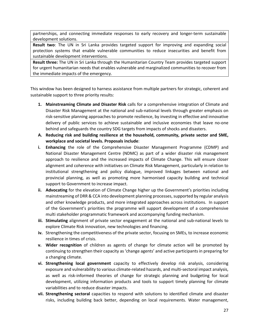partnerships, and connecting immediate responses to early recovery and longer-term sustainable development solutions.

**Result two**: The UN in Sri Lanka provides targeted support for improving and expanding social protection systems that enable vulnerable communities to reduce insecurities and benefit from sustainable development interventions.

**Result three:** The UN in Sri Lanka through the Humanitarian Country Team provides targeted support for urgent humanitarian needs that enables vulnerable and marginalized communities to recover from the immediate impacts of the emergency.

This window has been designed to harness assistance from multiple partners for strategic, coherent and sustainable support to three priority results:

- **1. Mainstreaming Climate and Disaster Risk** calls for a comprehensive integration of Climate and Disaster Risk Management at the national and sub-national levels through greater emphasis on risk-sensitive planning approaches to promote resilience, by investing in effective and innovative delivery of public services to achieve sustainable and inclusive economies that leave no-one behind and safeguards the country SDG targets from impacts of shocks and disasters.
- **A. Reducing risk and building resilience at the household, community, private sector and SME, workplace and societal levels. Proposals include**:
- **i. Enhancing** the role of the Comprehensive Disaster Management Programme (CDMP) and National Disaster Management Centre (NDMC) as part of a wider disaster risk management approach to resilience and the increased impacts of Climate Change. This will ensure closer alignment and coherence with initiatives on Climate Risk Management, particularly in relation to institutional strengthening and policy dialogue, improved linkages between national and provincial planning, as well as promoting more harmonised capacity building and technical support to Government to increase impact.
- **ii. Advocating** for the elevation of Climate Change higher up the Government's priorities including mainstreaming of DRR & CCA into development planning processes, supported by regular analysis and other knowledge products, and more integrated approaches across institutions. In support of the Government's priorities the programme will support development of a comprehensive multi stakeholder programmatic framework and accompanying funding mechanism.
- **iii. Stimulating** alignment of private sector engagement at the national and sub-national levels to explore Climate Risk innovation, new technologies and financing.
- **iv.** Strengthening the competitiveness of the private sector, focusing on SMEs, to increase economic resilience in times of crisis.
- **v. Wider recognition** of children as agents of change for climate action will be promoted by continuing to strengthen their capacity as 'change agents' and active participants in preparing for a changing climate.
- **vi. Strengthening local government** capacity to effectively develop risk analysis, considering exposure and vulnerability to various climate-related hazards, and multi-sectoral impact analysis, as well as risk-informed theories of change for strategic planning and budgeting for local development, utilizing information products and tools to support timely planning for climate variabilities and to reduce disaster impacts.
- **vii. Strengthening sectoral** capacities to respond with solutions to identified climate and disaster risks, including building back better, depending on local requirements. Water management,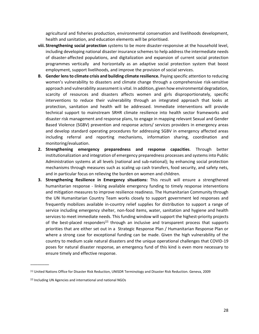agricultural and fisheries production, environmental conservation and livelihoods development, health and sanitation, and education elements will be prioritised.

- **viii. Strengthening social protection** systems to be more disaster-responsive at the household level, including developing national disaster insurance schemes to help address the intermediate needs of disaster-affected populations, and digitalization and expansion of current social protection programmes vertically and horizontally as an adaptive social protection system that boost employment, support livelihoods, and improve the provision of social services.
- **B. Gender lens to climate crisis and building climate resilience.** Paying specific attention to reducing women's vulnerability to disasters and climate change through a comprehensive risk-sensitive approach and vulnerability assessment is vital. In addition, given how environmental degradation, scarcity of resources and disasters affects women and girls disproportionately, specific interventions to reduce their vulnerability through an integrated approach that looks at protection, sanitation and health will be addressed. Immediate interventions will provide technical support to mainstream SRHR climate resilience into health sector frameworks and disaster risk management and response plans, to engage in mapping relevant Sexual and Gender Based Violence (SGBV) prevention and response actors/ services providers in emergency areas and develop standard operating procedures for addressing SGBV in emergency affected areas including referral and reporting mechanisms, information sharing, coordination and monitoring/evaluation.
- **2. Strengthening emergency preparedness and response capacities**. Through better institutionalization and integration of emergency preparedness processes and systems into Public Administration systems at all levels (national and sub-national); by enhancing social protection mechanisms through measures such as scaling up cash transfers, food security, and safety nets, and in particular focus on relieving the burden on women and children.
- **3. Strengthening Resilience in Emergency situations:** This result will ensure a strengthened humanitarian response - linking available emergency funding to timely response interventions and mitigation measures to improve resilience readiness. The Humanitarian Community through the UN Humanitarian Country Team works closely to support government led responses and frequently mobilizes available in-country relief supplies for distribution to support a range of service including emergency shelter, non-food items, water, sanitation and hygiene and health services to meet immediate needs. This funding window will support the highest-priority projects of the best-placed responders<sup>[2]</sup> through an inclusive and transparent process that supports priorities that are either set out in a Strategic Response Plan / Humanitarian Response Plan or where a strong case for exceptional funding can be made. Given the high vulnerability of the country to medium scale natural disasters and the unique operational challenges that COVID-19 poses for natural disaster response, an emergency fund of this kind is even more necessary to ensure timely and effective response.

\_\_\_\_\_\_\_\_

<sup>[1]</sup> United Nations Office for Disaster Risk Reduction, UNISDR Terminology and Disaster Risk Reduction. Geneva, 2009

<sup>[2]</sup> Including UN Agencies and international and national NGOs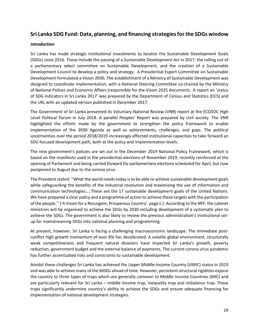## **Sri Lanka SDG Fund: Data, planning, and financing strategies for the SDGs window**

#### *Introduction*

Sri Lanka has made strategic institutional investments to localise the Sustainable Development Goals (SDGs) since 2016. These include the passing of a Sustainable Development Act in 2017, the rolling out of a parliamentary select committee on Sustainable Development, and the creation of a Sustainable Development Council to develop a policy and strategy. A Presidential Expert Committee on Sustainable Development formulated a Vision 2030. The establishment of a Ministry of Sustainable Development was designed to coordinate implementation, with a National Steering Committee co-chaired by the Ministry of National Polices and Economic Affairs (responsible for the Vision 2025 document). A report on 'status of SDG indicators in Sri Lanka 2017' was prepared by the Department of Census and Statistics (DCS) and the UN, with an updated version published in December 2017.

The Government of Sri Lanka presented its Voluntary National Review (VNR) report at the ECOSOC High Level Political Forum in July 2018. A parallel Peoples' Report was prepared by civil society. The VNR highlighted the efforts made by the government to strengthen the policy framework to enable implementation of the 2030 Agenda as well as achievements, challenges, and gaps. The political uncertainties over the period 2018/2019 increasingly affected institutional capacities to take forward an SDG focused development path, both at the policy and implementation levels.

The new government's policies are set out in the December 2019 National Policy Framework, which is based on the manifesto used in the presidential elections of November 2019, recently reinforced at the opening of Parliament and being carried forward for parliamentary elections scheduled for April, but now postponed to August due to the corona virus.

The President stated: ''What the world needs today is to be able to achieve sustainable development goals while safeguarding the benefits of the industrial revolution and maximizing the use of information and communication technologies…..These are the 17 sustainable development goals of the United Nations. We have prepared a clear policy and a programme of action to achieve these targets with the participation of the people.'' ('A Vision for a Resurgent, Prosperous Country', page ii.). According to the NPF, the cabinet ministries will be organised to achieve the SDGs by 2030 including development of a systematic plan to achieve the SDGs. The government is also likely to review the previous administration's institutional setup for mainstreaming SDGs into national planning and programming.

At present, however, Sri Lanka is facing a challenging macroeconomic landscape. The immediate postconflict high growth momentum of over 8% has decelerated. A volatile global environment, structurally weak competitiveness and frequent natural disasters have impacted Sri Lanka's growth, poverty reduction, government budget and the external balance of payments. The current corona virus pandemic has further accentuated risks and constraints to sustainable development.

Amidst these challenges Sri Lanka has achieved the Upper Middle-Income Country (UMIC) status in 2019 and was able to achieve many of the MDGs ahead of time. However, persistent structural rigidities expose the country to three types of traps which are generally common to Middle Income Countries (MIC) and are particularly relevant for Sri Lanka – middle income trap, inequality trap and imbalance trap. These traps significantly undermine country's ability to achieve the SDGs and ensure adequate financing for implementation of national development strategies.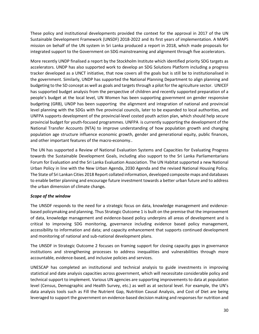These policy and institutional developments provided the context for the approval in 2017 of the UN Sustainable Development Framework (UNSDF) 2018-2022 and its first years of implementation. A MAPS mission on behalf of the UN system in Sri Lanka produced a report in 2018, which made proposals for integrated support to the Government on SDG mainstreaming and alignment through five accelerators.

More recently UNDP finalised a report by the Stockholm Institute which identified priority SDG targets as accelerators. UNDP has also supported work to develop an SDG Solutions Platform including a progress tracker developed as a UNCT initiative, that now covers all the goals but is still be to institutionalised in the government. Similarly, UNDP has supported the National Planning Department to align planning and budgeting to the SD concept as well as goals and targets through a pilot for the agriculture sector. UNICEF has supported budget analysis from the perspective of children and recently supported preparation of a people's budget at the local level, UN Women has been supporting government on gender responsive budgeting (GRB), UNDP has been supporting the alignment and integration of national and provincial level planning with the SDGs with five provincial councils, later to be expanded to local authorities, and UNFPA supports development of the provincial-level costed youth action plan, which should help secure provincial budget for youth-focused programmes. UNFPA is currently supporting the development of the National Transfer Accounts (NTA) to improve understanding of how population growth and changing population age structure influence economic growth, gender and generational equity, public finances, and other important features of the macro-economy..

The UN has supported a Review of National Evaluation Systems and Capacities for Evaluating Progress towards the Sustainable Development Goals, including also support to the Sri Lanka Parliamentarians Forum for Evaluation and the Sri Lanka Evaluation Association. The UN Habitat supported a new National Urban Policy in line with the New Urban Agenda, 2030 Agenda and the revised National Housing Policy. The State of Sri Lankan Cities 2018 Report collated information, developed composite maps and databases to enable better planning and encourage future investment towards a better urban future and to address the urban dimension of climate change*.* 

#### *Scope of the window*

The UNSDF responds to the need for a strategic focus on data, knowledge management and evidencebased policymaking and planning. Thus Strategic Outcome 1 is built on the premise that the improvement of data, knowledge management and evidence-based policy underpins all areas of development and is critical to improving SDG monitoring, governance including evidence based policy management, accessibility to information and data; and capacity enhancement that supports continued development and monitoring of national and sub-national development plans.

The UNSDF in Strategic Outcome 2 focuses on framing support for closing capacity gaps in governance institutions and strengthening processes to address inequalities and vulnerabilities through more accountable, evidence-based, and inclusive policies and services.

UNESCAP has completed an institutional and technical analysis to guide investments in improving statistical and date analysis capacities across government, which will necessitate considerable policy and technical support to implement. Various UN agencies are supporting improvements to data at population level (Census, Demographic and Health Survey, etc.) as well as at sectoral level. For example, the UN's data analysis tools such as Fill the Nutrient Gap, Nutrition Causal Analysis, and Cost of Diet are being leveraged to support the government on evidence-based decision making and responses for nutrition and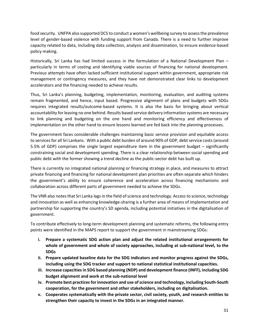food security. UNFPA also supported DCS to conduct a women's wellbeing survey to assess the prevalence level of gender-based violence with funding support from Canada. There is a need to further improve capacity related to data, including data collection, analysis and dissemination, to ensure evidence-based policy making.

Historically, Sri Lanka has had limited success in the formulation of a National Development Plan – particularly in terms of costing and identifying viable sources of financing for national development. Previous attempts have often lacked sufficient institutional support within government, appropriate risk management or contingency measures, and they have not demonstrated clear links to development accelerators and the financing needed to achieve results.

Thus, Sri Lanka's planning, budgeting, implementation, monitoring, evaluation, and auditing systems remain fragmented, and hence, input based. Progressive alignment of plans and budgets with SDGs requires integrated results/outcome-based systems. It is also the basis for bringing about vertical accountability for leaving no one behind. Results based service delivery information systems are necessary to link planning and budgeting on the one hand and monitoring efficiency and effectiveness of implementation on the other hand to ensure lessons learned are fed back into the planning processes.

The government faces considerable challenges maintaining basic service provision and equitable access to services for all Sri Lankans. With a public debt burden of around 90% of GDP, debt service costs (around 5.5% of GDP) comprises the single largest expenditure item in the government budget – significantly constraining social and development spending. There is a clear relationship between social spending and public debt with the former showing a trend decline as the public-sector debt has built up.

There is currently no integrated national planning or financing strategy in place, and measures to attract private financing and financing for national development plan priorities are often separate which hinders the government's ability to ensure coherence and acceleration across financing mechanisms and collaboration across different parts of government needed to achieve the SDGs.

The VNR also notes that Sri Lanka lags in the field of science and technology. Access to science, technology and innovation as well as enhancing knowledge-sharing is a further area of means of implementation and partnership for supporting the country's SD agenda, including potential initiatives in the digitalisation of government.

To contribute effectively to long-term development planning and systematic reforms, the following entry points were identified in the MAPS report to support the government in mainstreaming SDGs:

- **i. Prepare a systematic SDG action plan and adjust the related institutional arrangements for whole of government and whole of society approaches, including at sub-national level, to the SDGs**
- **ii. Prepare updated baseline data for the SDG indicators and monitor progress against the SDGs, including using the SDG tracker and support to national statistical institutional capacities.**
- **iii. Increase capacities in SDG based planning (NDP) and development finance (INFF), including SDG budget alignment and work at the sub-national level**
- **iv. Promote best practices for innovation and use of science and technology, including South-South cooperation, for the government and other stakeholders, including on digitalisation.**
- **v. Cooperates systematically with the private sector, civil society, youth, and research entities to strengthen their capacity to invest in the SDGs in an integrated manner.**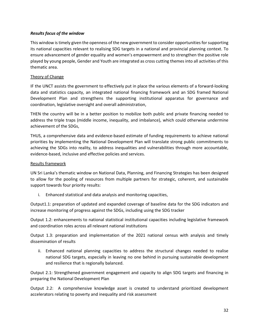#### *Results focus of the window*

This window is timely given the openness of the new government to consider opportunities for supporting its national capacities relevant to realising SDG targets in a national and provincial planning context. To ensure advancement of gender equality and women's empowerment and to strengthen the positive role played by young people, Gender and Youth are integrated as cross cutting themes into all activities of this thematic area.

#### Theory of Change

IF the UNCT assists the government to effectively put in place the various elements of a forward-looking data and statistics capacity, an integrated national financing framework and an SDG framed National Development Plan and strengthens the supporting institutional apparatus for governance and coordination, legislative oversight and overall administration,

THEN the country will be in a better position to mobilize both public and private financing needed to address the triple traps (middle income, inequality, and imbalance), which could otherwise undermine achievement of the SDGs,

THUS, a comprehensive data and evidence-based estimate of funding requirements to achieve national priorities by implementing the National Development Plan will translate strong public commitments to achieving the SDGs into reality, to address inequalities and vulnerabilities through more accountable, evidence-based, inclusive and effective policies and services.

#### Results framework

UN Sri Lanka's thematic window on National Data, Planning, and Financing Strategies has been designed to allow for the pooling of resources from multiple partners for strategic, coherent, and sustainable support towards four priority results:

i. Enhanced statistical and data analysis and monitoring capacities,

Output1.1: preparation of updated and expanded coverage of baseline data for the SDG indicators and increase monitoring of progress against the SDGs, including using the SDG tracker

Output 1.2: enhancements to national statistical institutional capacities including legislative framework and coordination roles across all relevant national institutions

Output 1.3: preparation and implementation of the 2021 national census with analysis and timely dissemination of results

ii. Enhanced national planning capacities to address the structural changes needed to realise national SDG targets, especially in leaving no one behind in pursuing sustainable development and resilience that is regionally balanced.

Output 2.1: Strengthened government engagement and capacity to align SDG targets and financing in preparing the National Development Plan

Output 2.2: A comprehensive knowledge asset is created to understand prioritized development accelerators relating to poverty and inequality and risk assessment